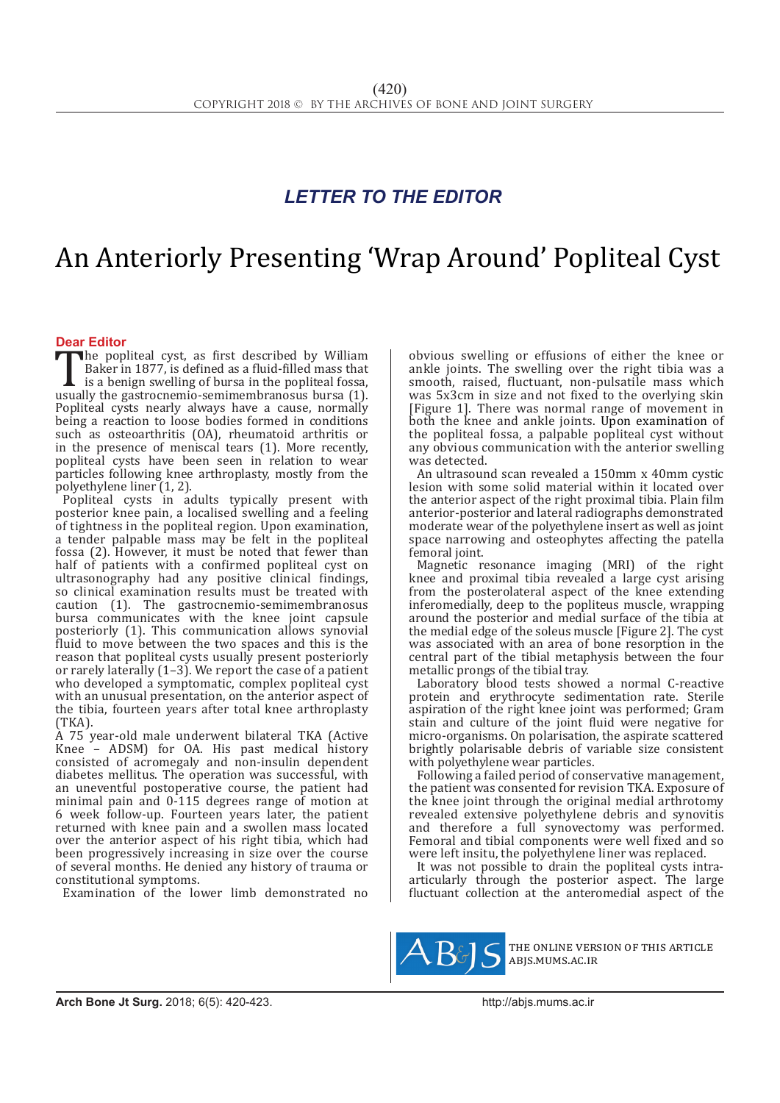## *LETTER TO THE EDITOR*

# An Anteriorly Presenting 'Wrap Around' Popliteal Cyst

**Dear Editor**<br>**The popliteal cyst, as first described by William** The popliteal cyst, as first described by William<br>Baker in 1877, is defined as a fluid-filled mass that<br>is a benign swelling of bursa in the popliteal fossa,<br>usually the gastrocnemio-semimembranosus bursa (1).<br>Popliteal cy Baker in 1877, is defined as a fluid-filled mass that is a benign swelling of bursa in the popliteal fossa, usually the gastrocnemio-semimembranosus bursa (1). Popliteal cysts nearly always have a cause, normally being a reaction to loose bodies formed in conditions such as osteoarthritis (OA), rheumatoid arthritis or in the presence of meniscal tears (1). More recently, popliteal cysts have been seen in relation to wear particles following knee arthroplasty, mostly from the polyethylene liner (1, 2).

Popliteal cysts in adults typically present with posterior knee pain, a localised swelling and a feeling of tightness in the popliteal region. Upon examination, a tender palpable mass may be felt in the popliteal fossa (2). However, it must be noted that fewer than half of patients with a confirmed popliteal cyst on ultrasonography had any positive clinical findings, so clinical examination results must be treated with caution (1). The gastrocnemio-semimembranosus bursa communicates with the knee joint capsule posteriorly (1). This communication allows synovial fluid to move between the two spaces and this is the reason that popliteal cysts usually present posteriorly or rarely laterally (1–3). We report the case of a patient who developed a symptomatic, complex popliteal cyst with an unusual presentation, on the anterior aspect of the tibia, fourteen years after total knee arthroplasty (TKA).

A 75 year-old male underwent bilateral TKA (Active Knee – ADSM) for OA. His past medical history consisted of acromegaly and non-insulin dependent diabetes mellitus. The operation was successful, with an uneventful postoperative course, the patient had minimal pain and 0-115 degrees range of motion at 6 week follow-up. Fourteen years later, the patient returned with knee pain and a swollen mass located over the anterior aspect of his right tibia, which had been progressively increasing in size over the course of several months. He denied any history of trauma or constitutional symptoms.

Examination of the lower limb demonstrated no

obvious swelling or effusions of either the knee or ankle joints. The swelling over the right tibia was a smooth, raised, fluctuant, non-pulsatile mass which was 5x3cm in size and not fixed to the overlying skin [Figure 1]. There was normal range of movement in both the knee and ankle joints. Upon examination of the popliteal fossa, a palpable popliteal cyst without any obvious communication with the anterior swelling was detected.

An ultrasound scan revealed a 150mm x 40mm cystic lesion with some solid material within it located over the anterior aspect of the right proximal tibia. Plain film anterior-posterior and lateral radiographs demonstrated moderate wear of the polyethylene insert as well as joint space narrowing and osteophytes affecting the patella femoral joint.

Magnetic resonance imaging (MRI) of the right knee and proximal tibia revealed a large cyst arising from the posterolateral aspect of the knee extending inferomedially, deep to the popliteus muscle, wrapping around the posterior and medial surface of the tibia at the medial edge of the soleus muscle [Figure 2]. The cyst was associated with an area of bone resorption in the central part of the tibial metaphysis between the four metallic prongs of the tibial tray.

Laboratory blood tests showed a normal C-reactive protein and erythrocyte sedimentation rate. Sterile aspiration of the right knee joint was performed; Gram stain and culture of the joint fluid were negative for micro-organisms. On polarisation, the aspirate scattered brightly polarisable debris of variable size consistent with polyethylene wear particles.

Following a failed period of conservative management, the patient was consented for revision TKA. Exposure of the knee joint through the original medial arthrotomy revealed extensive polyethylene debris and synovitis and therefore a full synovectomy was performed. Femoral and tibial components were well fixed and so were left insitu, the polyethylene liner was replaced.

It was not possible to drain the popliteal cysts intraarticularly through the posterior aspect. The large fluctuant collection at the anteromedial aspect of the



the online version of this article abjs.mums.ac.ir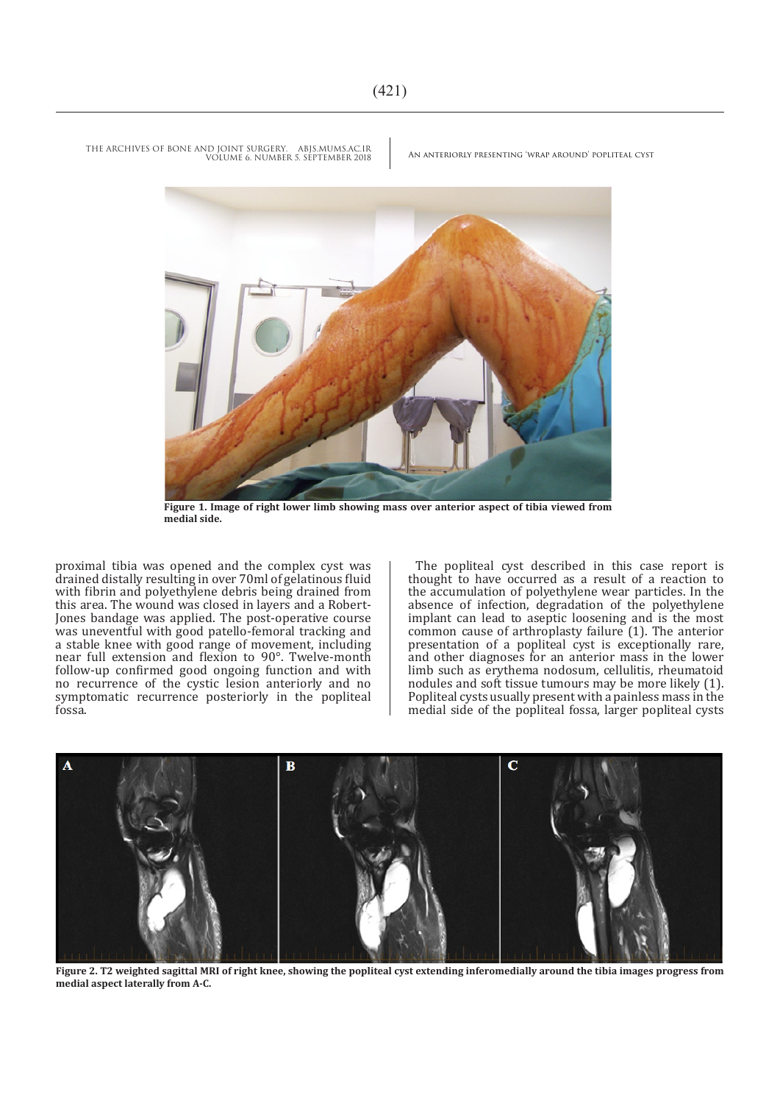THE ARCHIVES OF BONE AND JOINT SURGERY. ABJS.MUMS.AC.IR<br>VOULME 6 NUMBER 5 SERTEMBER 2008 AN ANTERIORLY PRESENTING 'WRAP AROUND' POPLITEAL CYST VOLUME 6. NUMBER 5. SEPTEMBER 2018



**Figure 1. Image of right lower limb showing mass over anterior aspect of tibia viewed from medial side.**

proximal tibia was opened and the complex cyst was drained distally resulting in over 70ml of gelatinous fluid with fibrin and polyethylene debris being drained from this area. The wound was closed in layers and a Robert-Jones bandage was applied. The post-operative course was uneventful with good patello-femoral tracking and a stable knee with good range of movement, including near full extension and flexion to 90°. Twelve-month follow-up confirmed good ongoing function and with no recurrence of the cystic lesion anteriorly and no symptomatic recurrence posteriorly in the popliteal fossa.

The popliteal cyst described in this case report is thought to have occurred as a result of a reaction to the accumulation of polyethylene wear particles. In the absence of infection, degradation of the polyethylene implant can lead to aseptic loosening and is the most common cause of arthroplasty failure (1). The anterior presentation of a popliteal cyst is exceptionally rare, and other diagnoses for an anterior mass in the lower limb such as erythema nodosum, cellulitis, rheumatoid nodules and soft tissue tumours may be more likely (1). Popliteal cysts usually present with a painless mass in the medial side of the popliteal fossa, larger popliteal cysts



**Figure 2. T2 weighted sagittal MRI of right knee, showing the popliteal cyst extending inferomedially around the tibia images progress from medial aspect laterally from A-C.**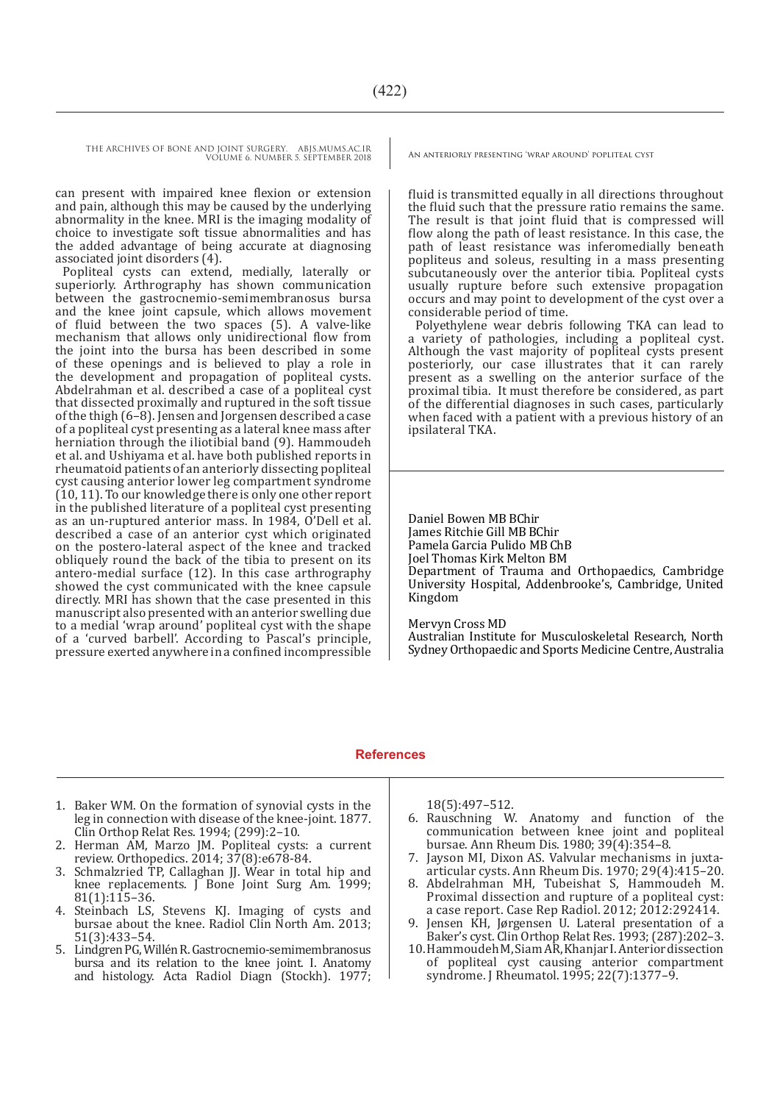THE ARCHIVES OF BONE AND JOINT SURGERY. ABJS.MUMS.AC.IR AN ANTERIORLY PRESENTING 'WRAP AROUND' POPLITEAL CYST VOLUME 6. NUMBER 5. SEPTEMBER 2018

can present with impaired knee flexion or extension and pain, although this may be caused by the underlying abnormality in the knee. MRI is the imaging modality of choice to investigate soft tissue abnormalities and has the added advantage of being accurate at diagnosing associated joint disorders (4).

Popliteal cysts can extend, medially, laterally or superiorly. Arthrography has shown communication between the gastrocnemio-semimembranosus bursa and the knee joint capsule, which allows movement of fluid between the two spaces (5). A valve-like mechanism that allows only unidirectional flow from the joint into the bursa has been described in some of these openings and is believed to play a role in the development and propagation of popliteal cysts. Abdelrahman et al. described a case of a popliteal cyst that dissected proximally and ruptured in the soft tissue of the thigh (6–8). Jensen and Jorgensen described a case of a popliteal cyst presenting as a lateral knee mass after herniation through the iliotibial band (9). Hammoudeh et al. and Ushiyama et al. have both published reports in rheumatoid patients of an anteriorly dissecting popliteal cyst causing anterior lower leg compartment syndrome (10, 11). To our knowledge there is only one other report in the published literature of a popliteal cyst presenting as an un-ruptured anterior mass. In 1984, O'Dell et al. described a case of an anterior cyst which originated on the postero-lateral aspect of the knee and tracked obliquely round the back of the tibia to present on its antero-medial surface (12). In this case arthrography showed the cyst communicated with the knee capsule directly. MRI has shown that the case presented in this manuscript also presented with an anterior swelling due to a medial 'wrap around' popliteal cyst with the shape of a 'curved barbell'. According to Pascal's principle, pressure exerted anywhere in a confined incompressible

fluid is transmitted equally in all directions throughout the fluid such that the pressure ratio remains the same. The result is that joint fluid that is compressed will flow along the path of least resistance. In this case, the path of least resistance was inferomedially beneath popliteus and soleus, resulting in a mass presenting subcutaneously over the anterior tibia. Popliteal cysts usually rupture before such extensive propagation occurs and may point to development of the cyst over a considerable period of time.

Polyethylene wear debris following TKA can lead to a variety of pathologies, including a popliteal cyst. Although the vast majority of popliteal cysts present posteriorly, our case illustrates that it can rarely present as a swelling on the anterior surface of the proximal tibia. It must therefore be considered, as part of the differential diagnoses in such cases, particularly when faced with a patient with a previous history of an ipsilateral TKA.

Daniel Bowen MB BChir James Ritchie Gill MB BChir Pamela Garcia Pulido MB ChB Joel Thomas Kirk Melton BM Department of Trauma and Orthopaedics, Cambridge University Hospital, Addenbrooke's, Cambridge, United Kingdom

### Mervyn Cross MD

Australian Institute for Musculoskeletal Research, North Sydney Orthopaedic and Sports Medicine Centre, Australia

## **References**

- 1. Baker WM. On the formation of synovial cysts in the leg in connection with disease of the knee-joint. 1877. Clin Orthop Relat Res. 1994; (299):2–10.
- 2. Herman AM, Marzo JM. Popliteal cysts: a current review. Orthopedics. 2014; 37(8):e678-84.
- 3. Schmalzried TP, Callaghan JJ. Wear in total hip and knee replacements. J Bone Joint Surg Am. 1999; 81(1):115–36.
- Steinbach LS, Stevens KJ. Imaging of cysts and bursae about the knee. Radiol Clin North Am. 2013; 51(3):433–54.
- 5. Lindgren PG, Willén R. Gastrocnemio-semimembranosus bursa and its relation to the knee joint. I. Anatomy and histology. Acta Radiol Diagn (Stockh). 1977;

18(5):497–512.

- 6. Rauschning W. Anatomy and function of the communication between knee joint and popliteal bursae. Ann Rheum Dis. 1980; 39(4):354–8.
- 7. Jayson MI, Dixon AS. Valvular mechanisms in juxtaarticular cysts. Ann Rheum Dis. 1970; 29(4):415–20.
- 8. Abdelrahman MH, Tubeishat S, Hammoudeh M. Proximal dissection and rupture of a popliteal cyst: a case report. Case Rep Radiol. 2012; 2012:292414.
- 9. Jensen KH, Jørgensen U. Lateral presentation of a Baker's cyst. Clin Orthop Relat Res. 1993; (287):202–3.
- 10.Hammoudeh M, Siam AR, Khanjar I. Anterior dissection of popliteal cyst causing anterior compartment syndrome. J Rheumatol. 1995; 22(7):1377–9.